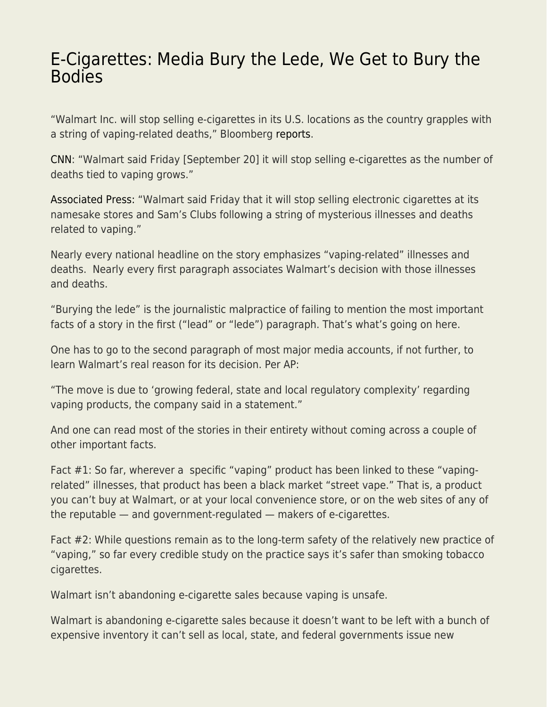## [E-Cigarettes: Media Bury the Lede, We Get to Bury the](https://everything-voluntary.com/e-cigarettes-media-bury-the-lede-we-get-to-bury-the-bodies) [Bodies](https://everything-voluntary.com/e-cigarettes-media-bury-the-lede-we-get-to-bury-the-bodies)

"Walmart Inc. will stop selling e-cigarettes in its U.S. locations as the country grapples with a string of vaping-related deaths," Bloomberg [reports.](https://www.bloomberg.com/news/articles/2019-09-20/walmart-to-stop-selling-e-cigarettes-amid-vaping-illness-reports)

[CNN](https://www.cnn.com/2019/09/20/business/walmart-e-cigarettes-vaping/index.html): "Walmart said Friday [September 20] it will stop selling e-cigarettes as the number of deaths tied to vaping grows."

[Associated Press:](https://apnews.com/ed7f09336ea244c184bfafdf9ec134a7) "Walmart said Friday that it will stop selling electronic cigarettes at its namesake stores and Sam's Clubs following a string of mysterious illnesses and deaths related to vaping."

Nearly every national headline on the story emphasizes "vaping-related" illnesses and deaths. Nearly every first paragraph associates Walmart's decision with those illnesses and deaths.

"Burying the lede" is the journalistic malpractice of failing to mention the most important facts of a story in the first ("lead" or "lede") paragraph. That's what's going on here.

One has to go to the second paragraph of most major media accounts, if not further, to learn Walmart's real reason for its decision. Per AP:

"The move is due to 'growing federal, state and local regulatory complexity' regarding vaping products, the company said in a statement."

And one can read most of the stories in their entirety without coming across a couple of other important facts.

Fact #1: So far, wherever a specific "vaping" product has been linked to these "vapingrelated" illnesses, that product has been a black market "street vape." That is, a product you can't buy at Walmart, or at your local convenience store, or on the web sites of any of the reputable — and government-regulated — makers of e-cigarettes.

Fact #2: While questions remain as to the long-term safety of the relatively new practice of "vaping," so far every credible study on the practice says it's safer than smoking tobacco cigarettes.

Walmart isn't abandoning e-cigarette sales because vaping is unsafe.

Walmart is abandoning e-cigarette sales because it doesn't want to be left with a bunch of expensive inventory it can't sell as local, state, and federal governments issue new